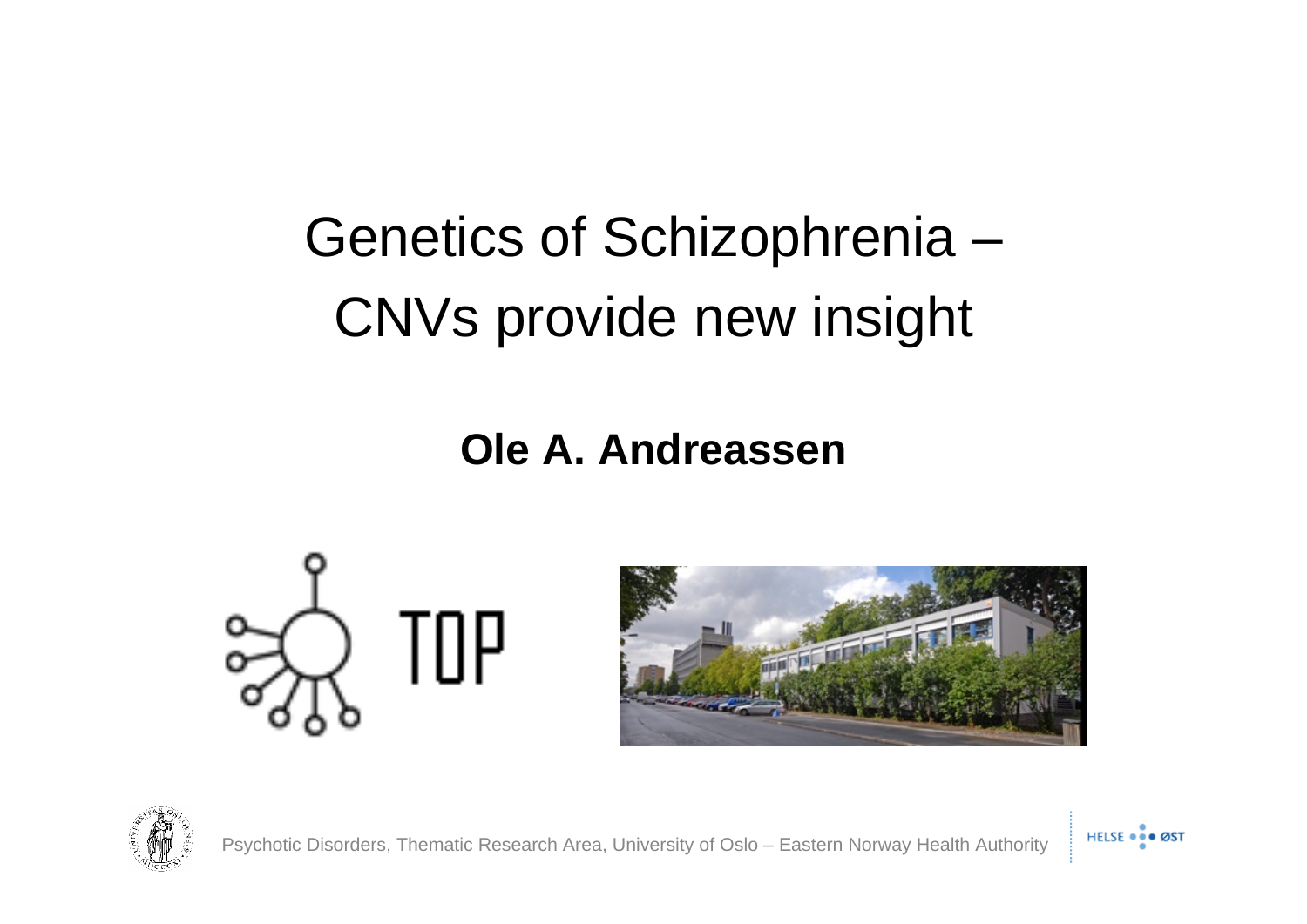#### Genetics of Schizophrenia – CNVs provide new insight

#### **Ole A. Andreassen**







Psychotic Disorders, Thematic Research Area, University of Oslo – Eastern Norway Health Authority

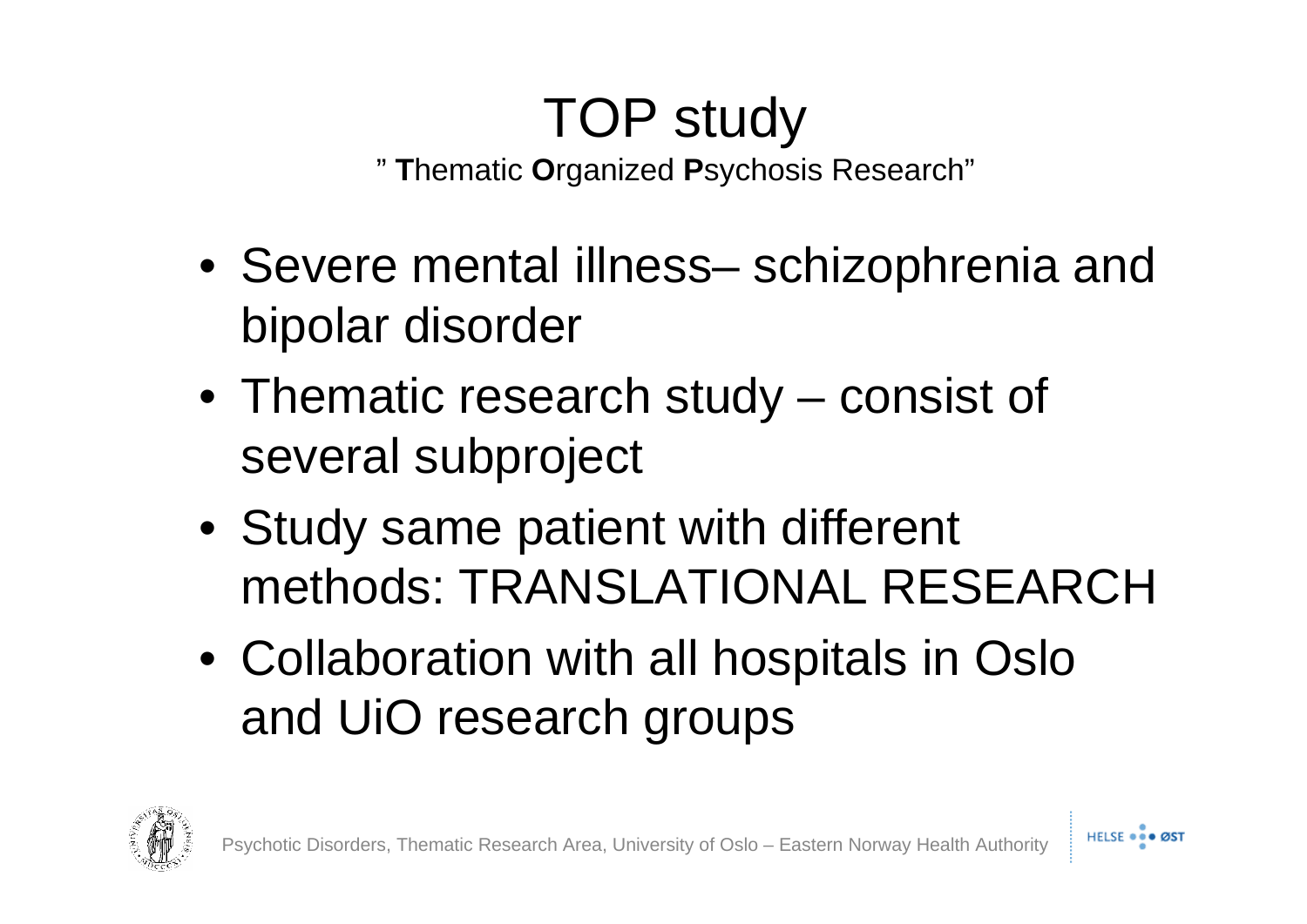#### TOP study

" **T**hematic **O**rganized **P**sychosis Research"

- Severe mental illness– schizophrenia and bipolar disorder
- Thematic research study consist of several subproject
- Study same patient with different methods: TRANSLATIONAL RESEARCH
- Collaboration with all hospitals in Oslo and UiO research groups

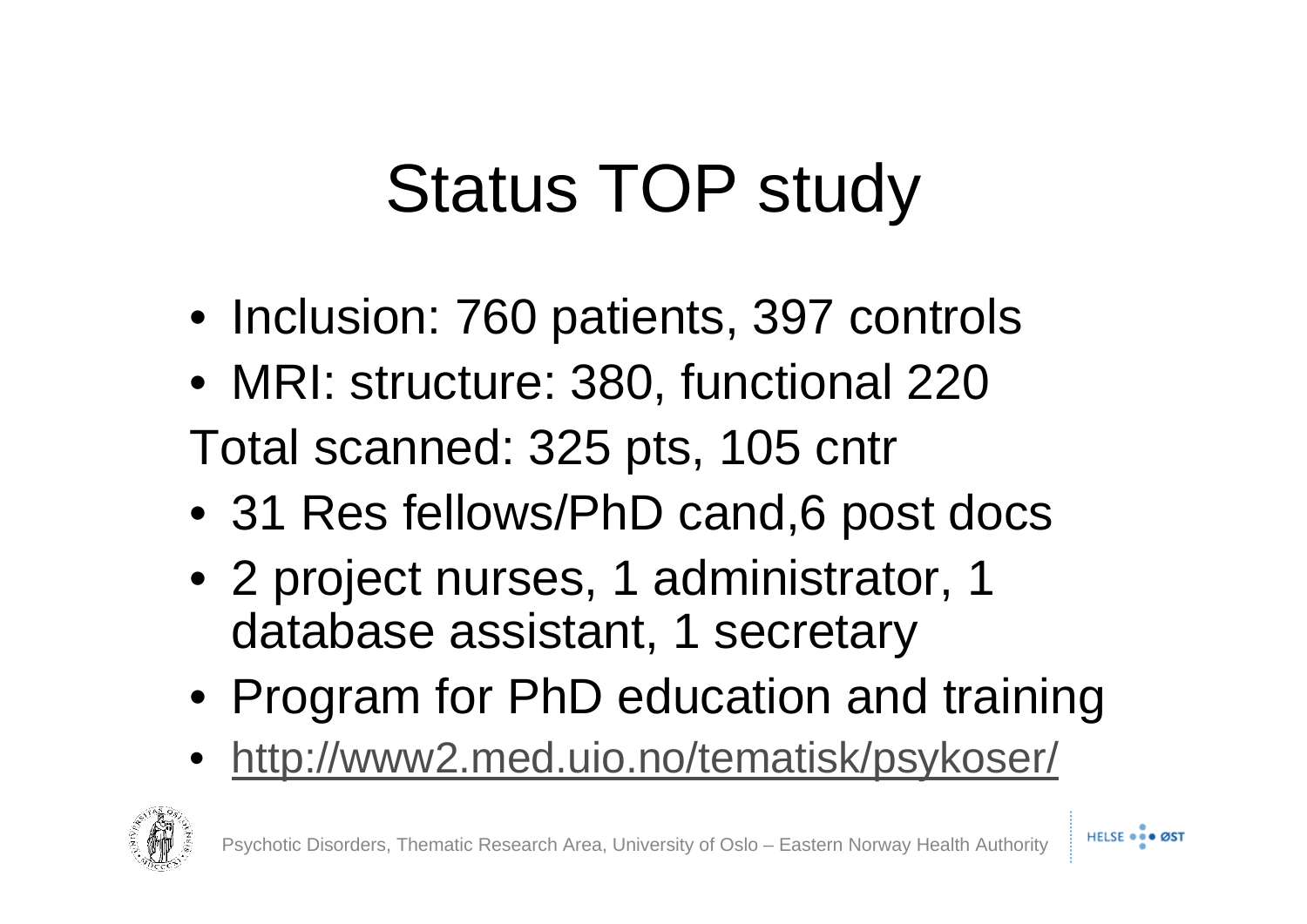# Status TOP study

- Inclusion: 760 patients, 397 controls
- MRI: structure: 380, functional 220 Total scanned: 325 pts, 105 cntr
- 31 Res fellows/PhD cand, 6 post docs
- 2 project nurses, 1 administrator, 1 database assistant, 1 secretary
- Program for PhD education and training
- <http://www2.med.uio.no/tematisk/psykoser/>

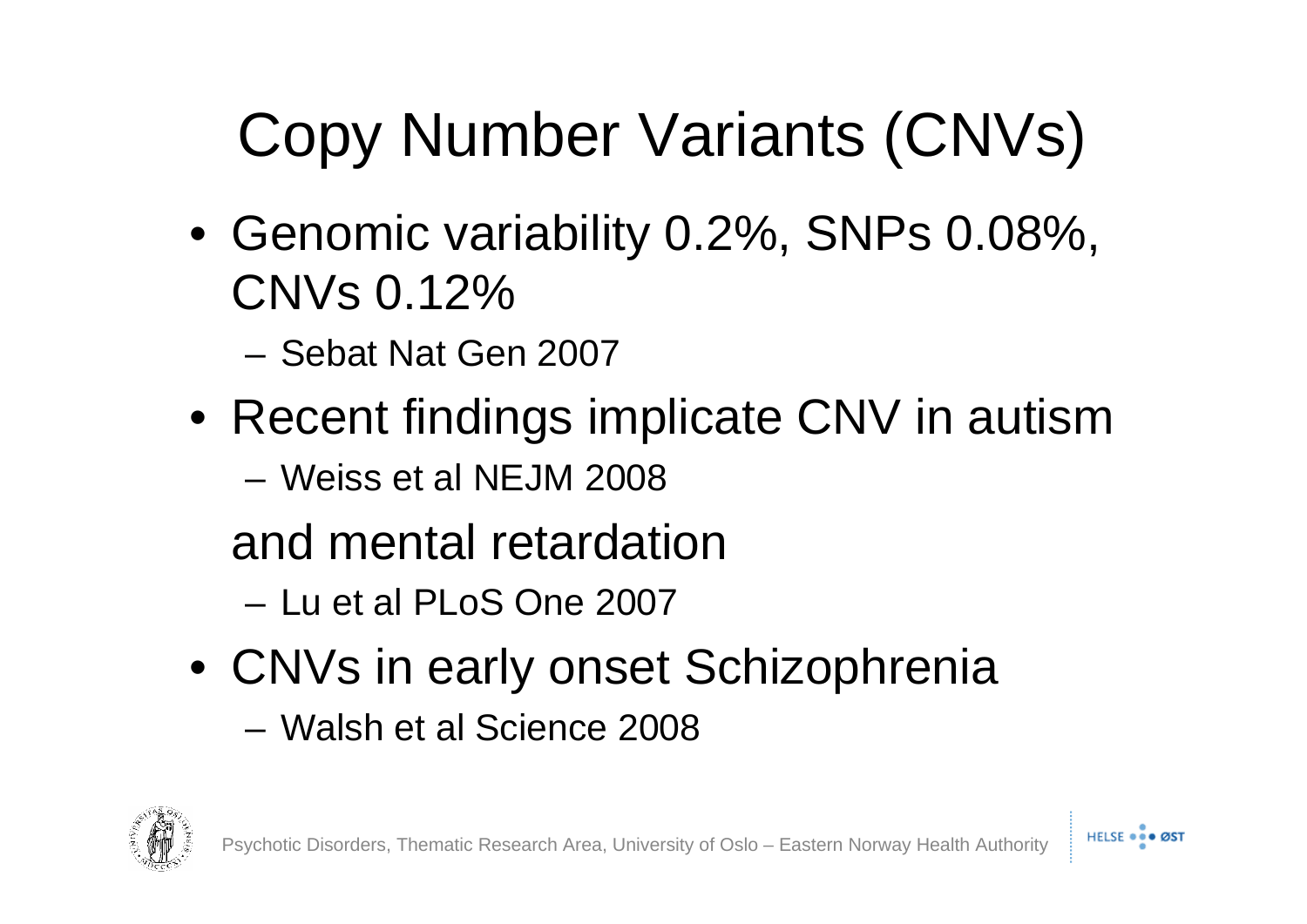# Copy Number Variants (CNVs)

- Genomic variability 0.2%, SNPs 0.08%, CNVs 0.12%
	- Sebat Nat Gen 2007
- Recent findings implicate CNV in autism
	- Weiss et al NEJM 2008
	- and mental retardation
		- Lu et al PLoS One 2007
- CNVs in early onset Schizophrenia – Walsh et al Science 2008



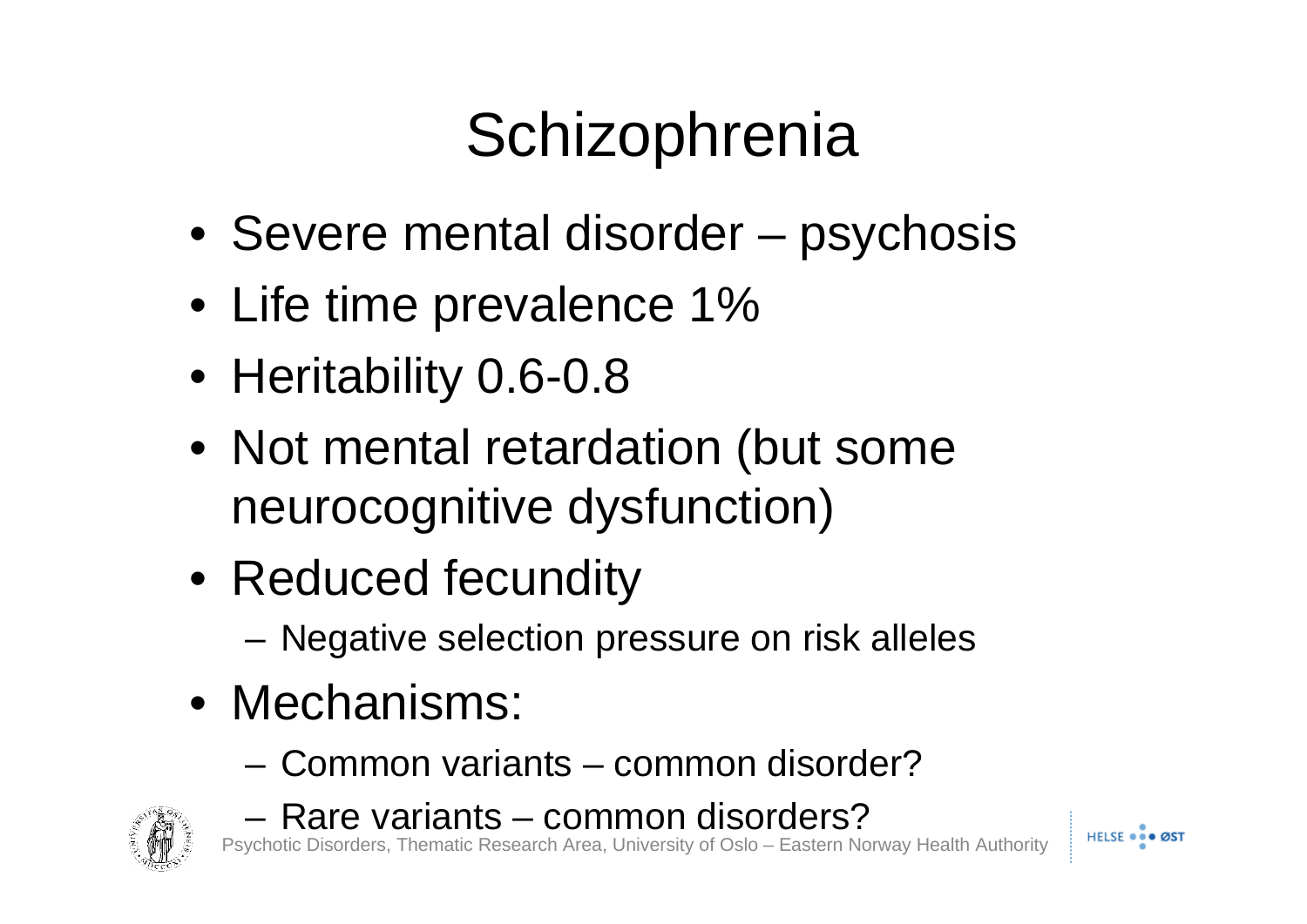### **Schizophrenia**

- Severe mental disorder psychosis
- Life time prevalence 1%
- Heritability 0.6-0.8
- Not mental retardation (but some neurocognitive dysfunction)
- Reduced fecundity
	- Negative selection pressure on risk alleles
- Mechanisms:
	- Common variants common disorder?



– Rare variants – common disorders?

Psychotic Disorders, Thematic Research Area, University of Oslo – Eastern Norway Health Authority

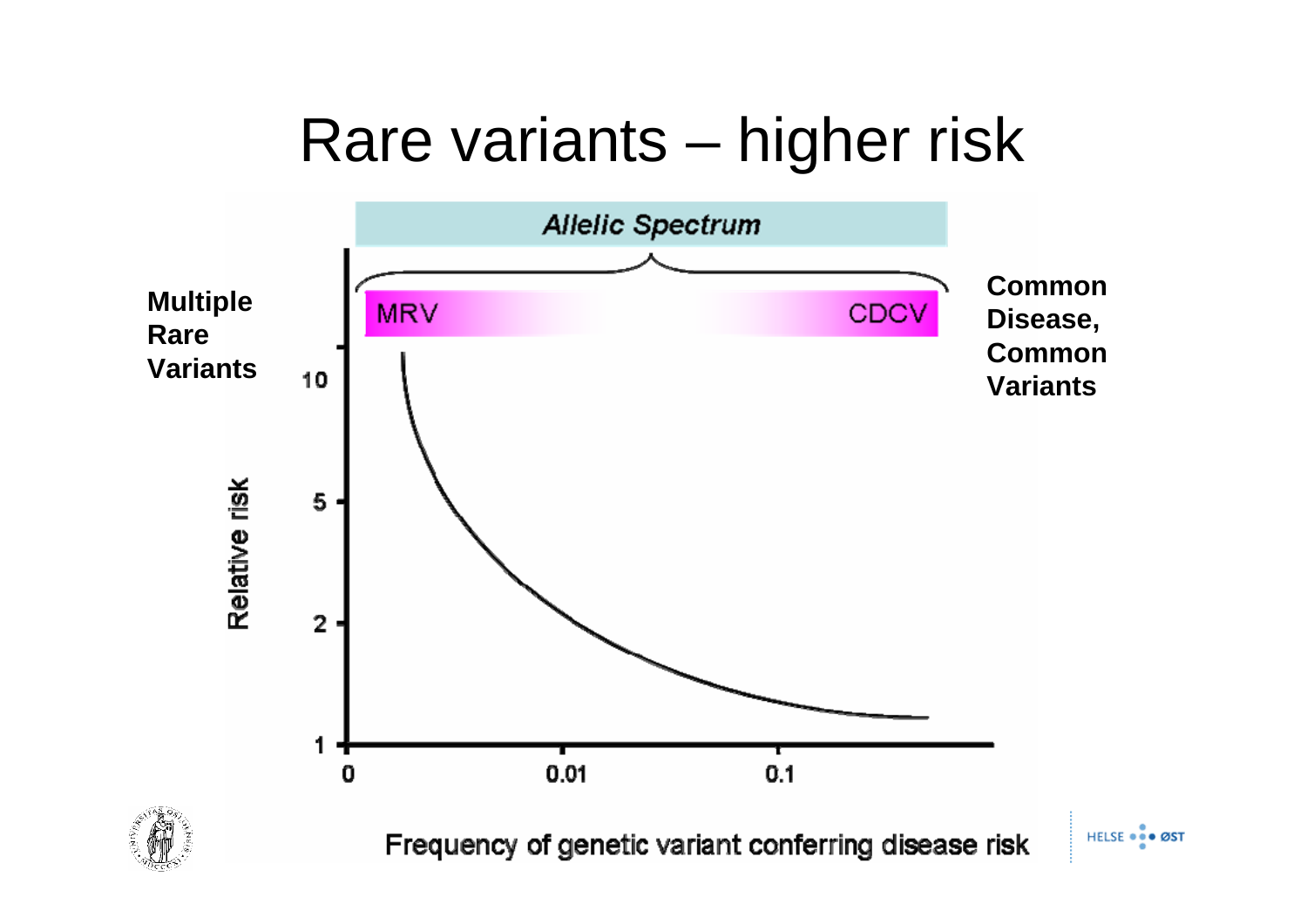#### Rare variants – higher risk

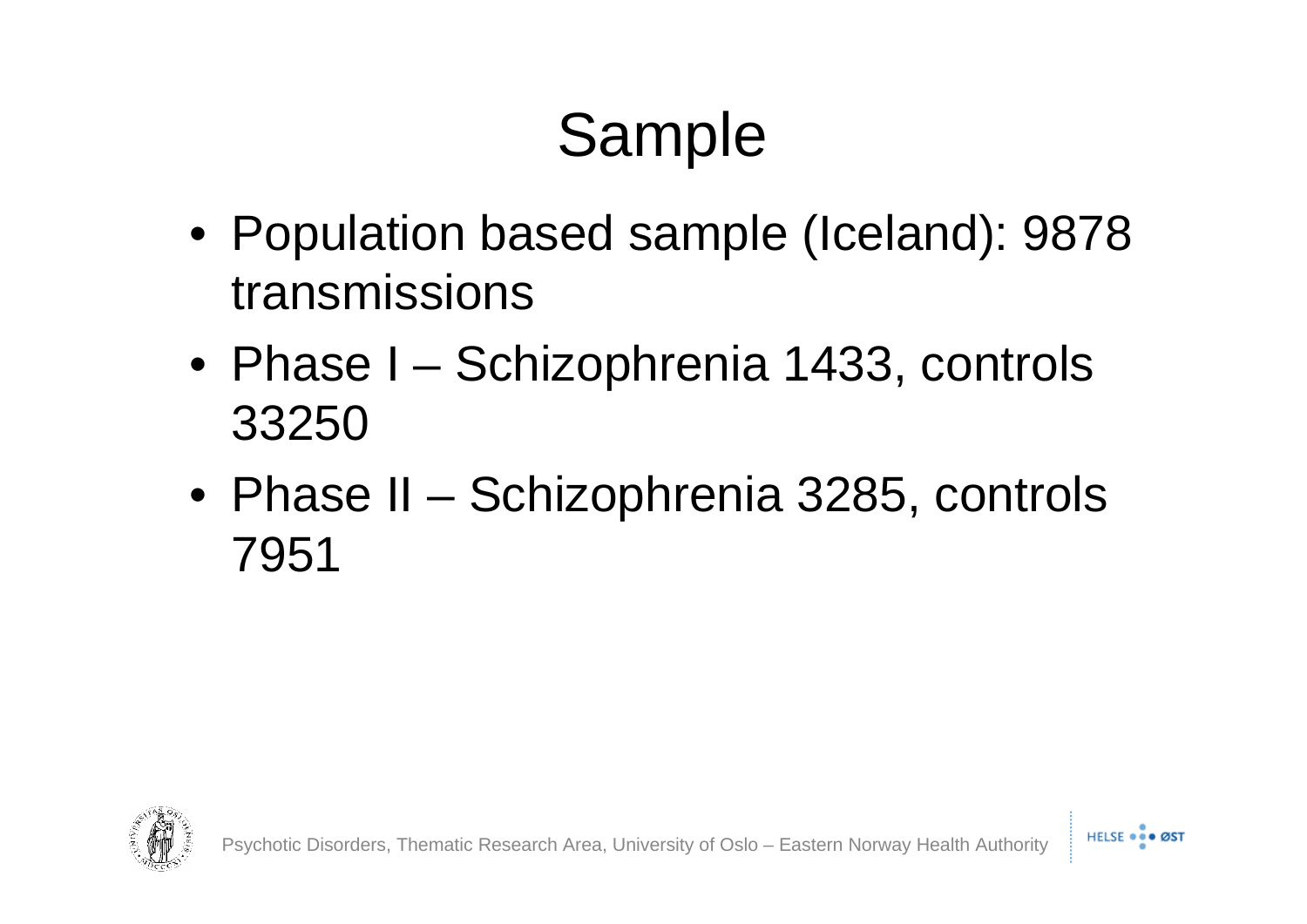### Sample

- Population based sample (Iceland): 9878 transmissions
- Phase I Schizophrenia 1433, controls 33250
- Phase II Schizophrenia 3285, controls 7951



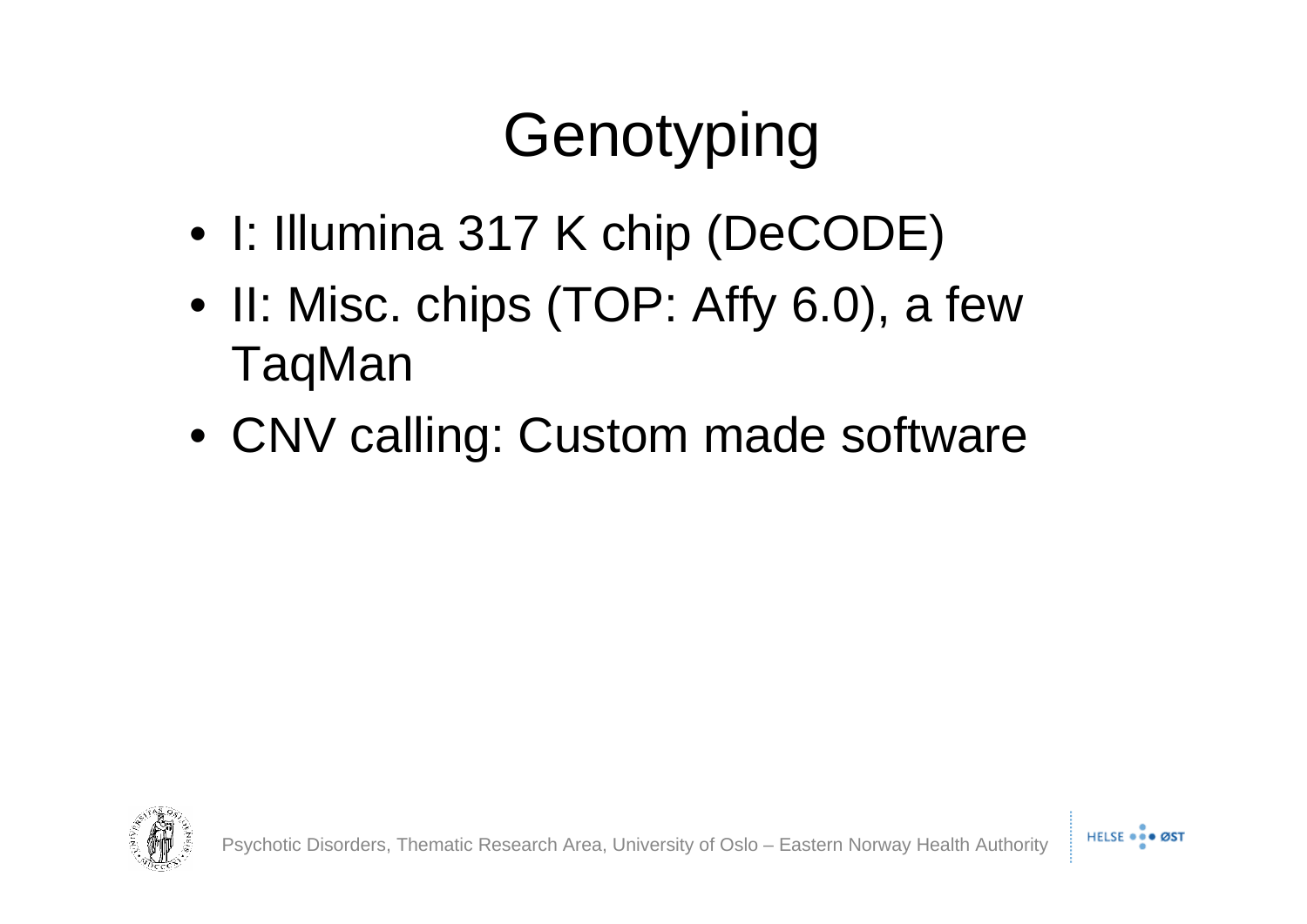## Genotyping

- I: Illumina 317 K chip (DeCODE)
- II: Misc. chips (TOP: Affy 6.0), a few TaqMan
- CNV calling: Custom made software

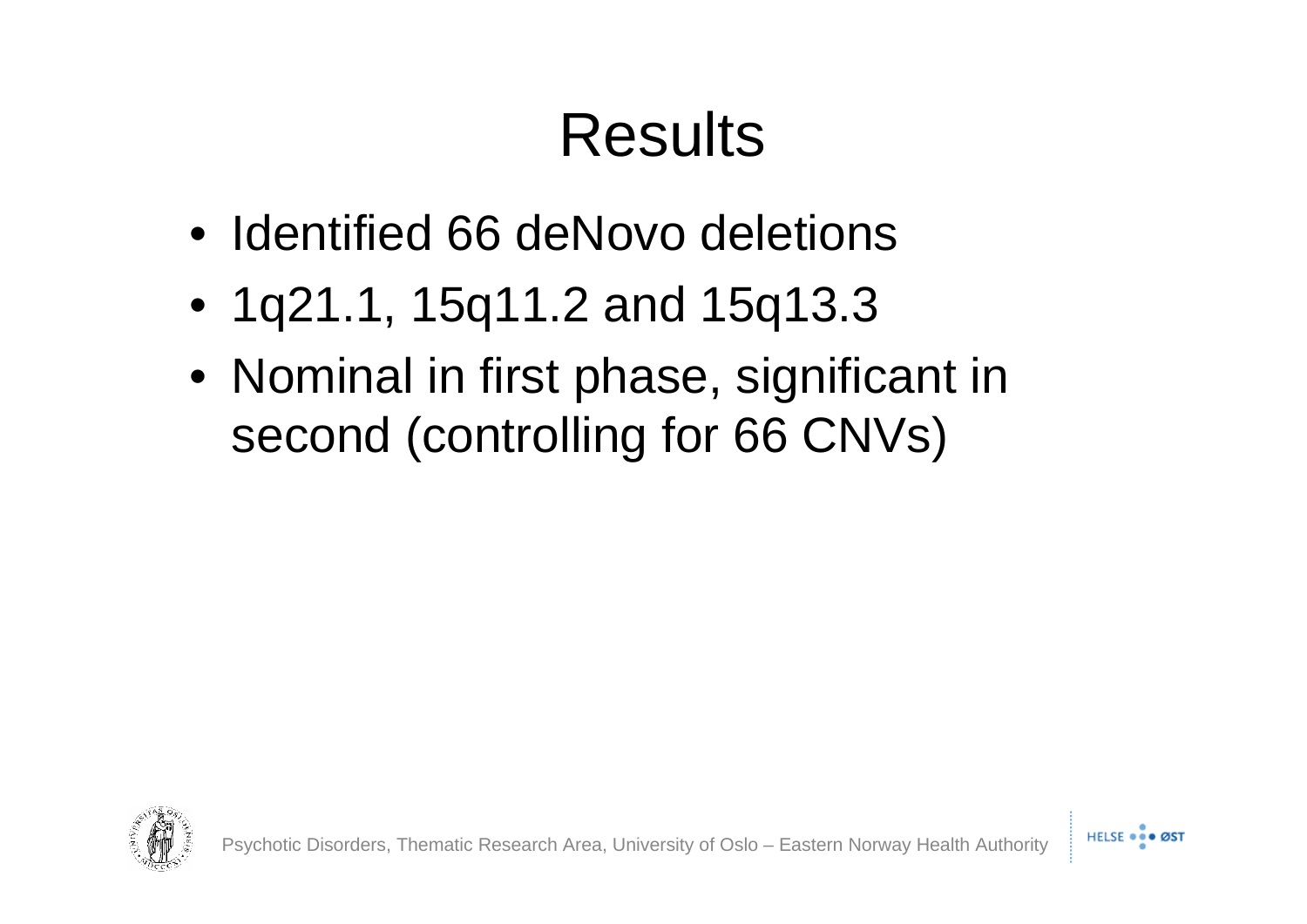#### Results

- Identified 66 deNovo deletions
- 1q21.1, 15q11.2 and 15q13.3
- Nominal in first phase, significant in second (controlling for 66 CNVs)

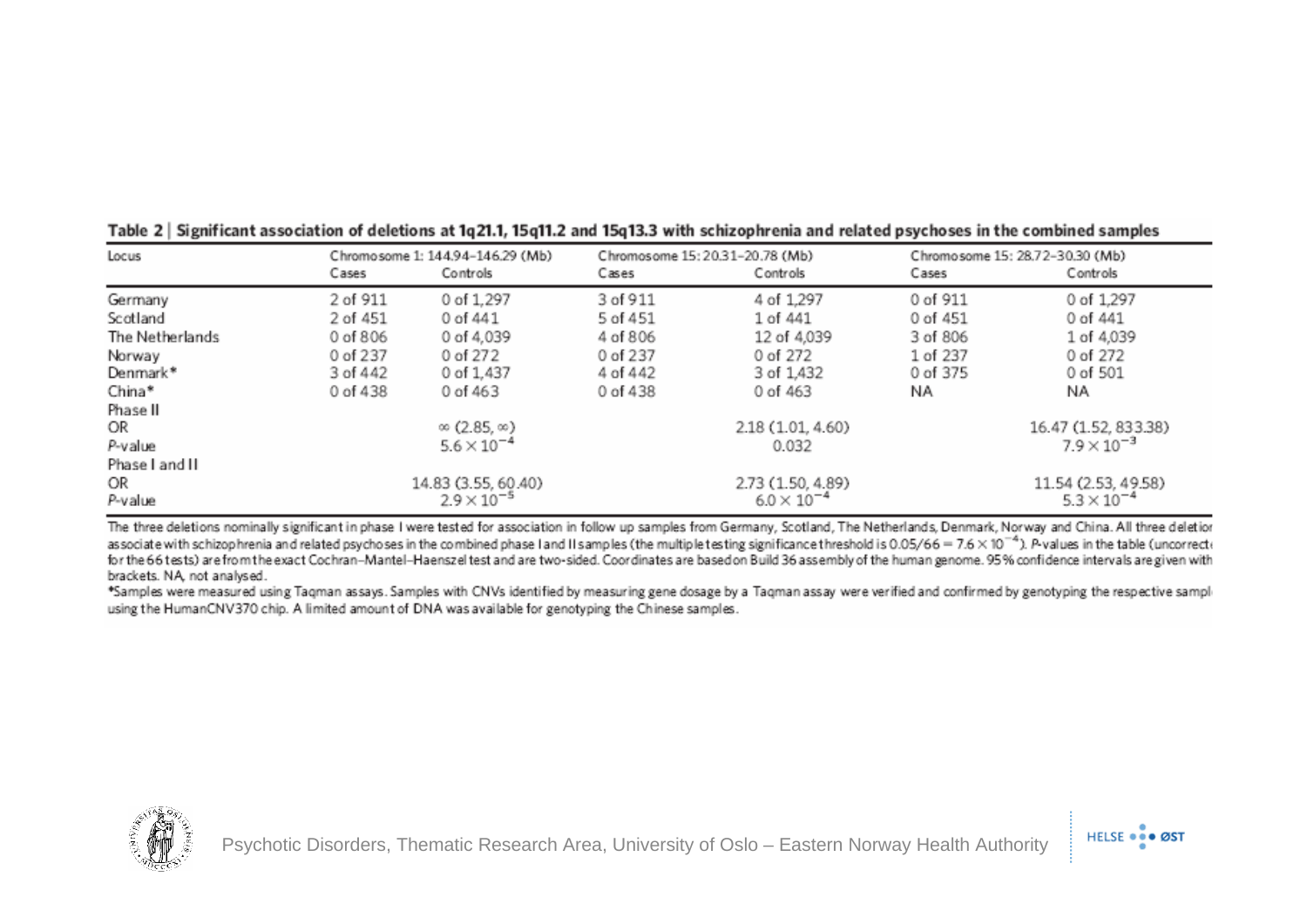| Locus           | Chromosome 1: 144.94-146.29 (Mb) |                            | Chromosome 15: 20.31-20.78 (Mb) |                   | Chromosome 15: 28.72-30.30 (Mb) |                      |
|-----------------|----------------------------------|----------------------------|---------------------------------|-------------------|---------------------------------|----------------------|
|                 | Cases                            | Controls                   | Cases                           | Controls          | Cases                           | Controls             |
| Germany         | 2 of 911                         | 0 of 1,297                 | 3 of 911                        | 4 of 1,297        | 0 of 911                        | 0 of 1,297           |
| Scotland        | 2 of 451                         | 0 of 441                   | 5 of 451                        | 1 of 441          | 0 of 451                        | 0 of 441             |
| The Netherlands | 0 of 806                         | 0 of 4,039                 | 4 of 806                        | 12 of 4,039       | 3 of 806                        | 1 of 4,039           |
| Norway          | 0 of 237                         | 0 of 272                   | 0 of 237                        | 0 of 272          | 1 of 237                        | 0 of 272             |
| Denmark*        | 3 of 442                         | 0 of 1,437                 | 4 of 442                        | 3 of 1,432        | 0 of 375                        | 0 of 501             |
| China*          | 0 of 438                         | 0 of 463                   | 0 of 438                        | 0 of 463          | NA                              | ΝA                   |
| Phase II        |                                  |                            |                                 |                   |                                 |                      |
| OR              |                                  | $\infty$ (2.85, $\infty$ ) |                                 | 2.18 (1.01, 4.60) |                                 | 16.47 (1.52, 833.38) |
| P-value         | $5.6 \times 10^{-4}$             |                            | 0.032                           |                   | $7.9 \times 10^{-3}$            |                      |
| Phase I and II  |                                  |                            |                                 |                   |                                 |                      |
| OR              | 14.83 (3.55, 60.40)              |                            | 2.73 (1.50, 4.89)               |                   |                                 | 11.54 (2.53, 49.58)  |
| P-value         | $2.9 \times 10^{-5}$             |                            | $6.0 \times 10^{-4}$            |                   | $5.3 \times 10^{-4}$            |                      |

| Table 2 Significant association of deletions at 1q21.1, 15q11.2 and 15q13.3 with schizophrenia and related psychoses in the combined samples |  |
|----------------------------------------------------------------------------------------------------------------------------------------------|--|
|----------------------------------------------------------------------------------------------------------------------------------------------|--|

The three deletions nominally significant in phase I were tested for association in follow up samples from Germany, Scotland, The Netherlands, Denmark, Norway and China. All three deletion associate with schizophrenia and related psychoses in the combined phase I and II samples (the multiple testing significance threshold is 0.05/66 = 7.6  $\times$  10<sup>-4</sup>). P values in the table (uncorrect for the 66 tests) are from the exact Cochran-Mantel-Haenszel test and are two-sided. Coordinates are based on Build 36 assembly of the human genome. 95% confidence intervals are given with brackets. NA, not analysed.

\*Samples were measured using Tagman assays. Samples with CNVs identified by measuring gene dosage by a Tagman assay were verified and confirmed by genotyping the respective sampl using the HumanCNV370 chip. A limited amount of DNA was available for genotyping the Chinese samples.



HELSE ... ØST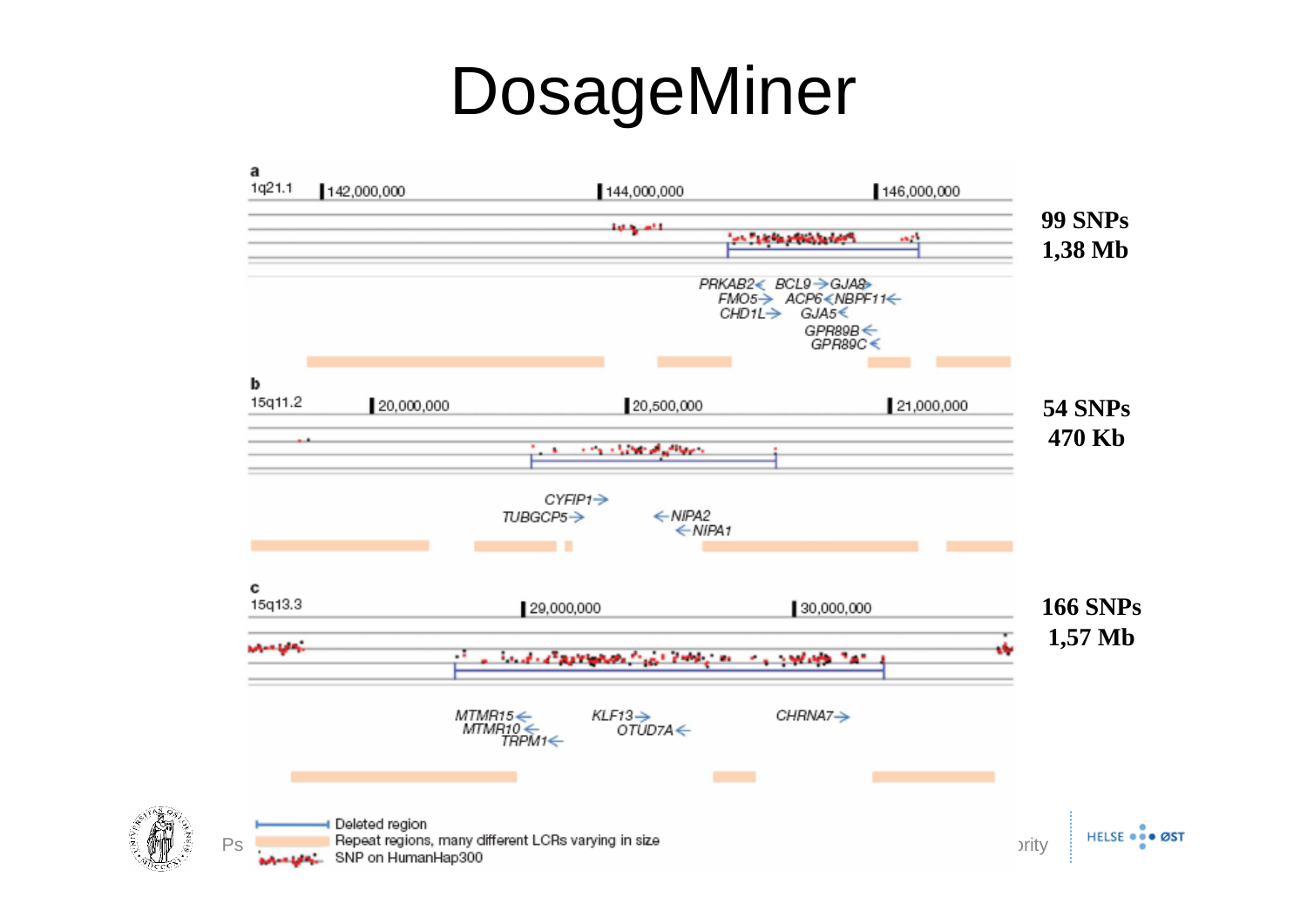## DosageMiner



 $\frac{1}{2}$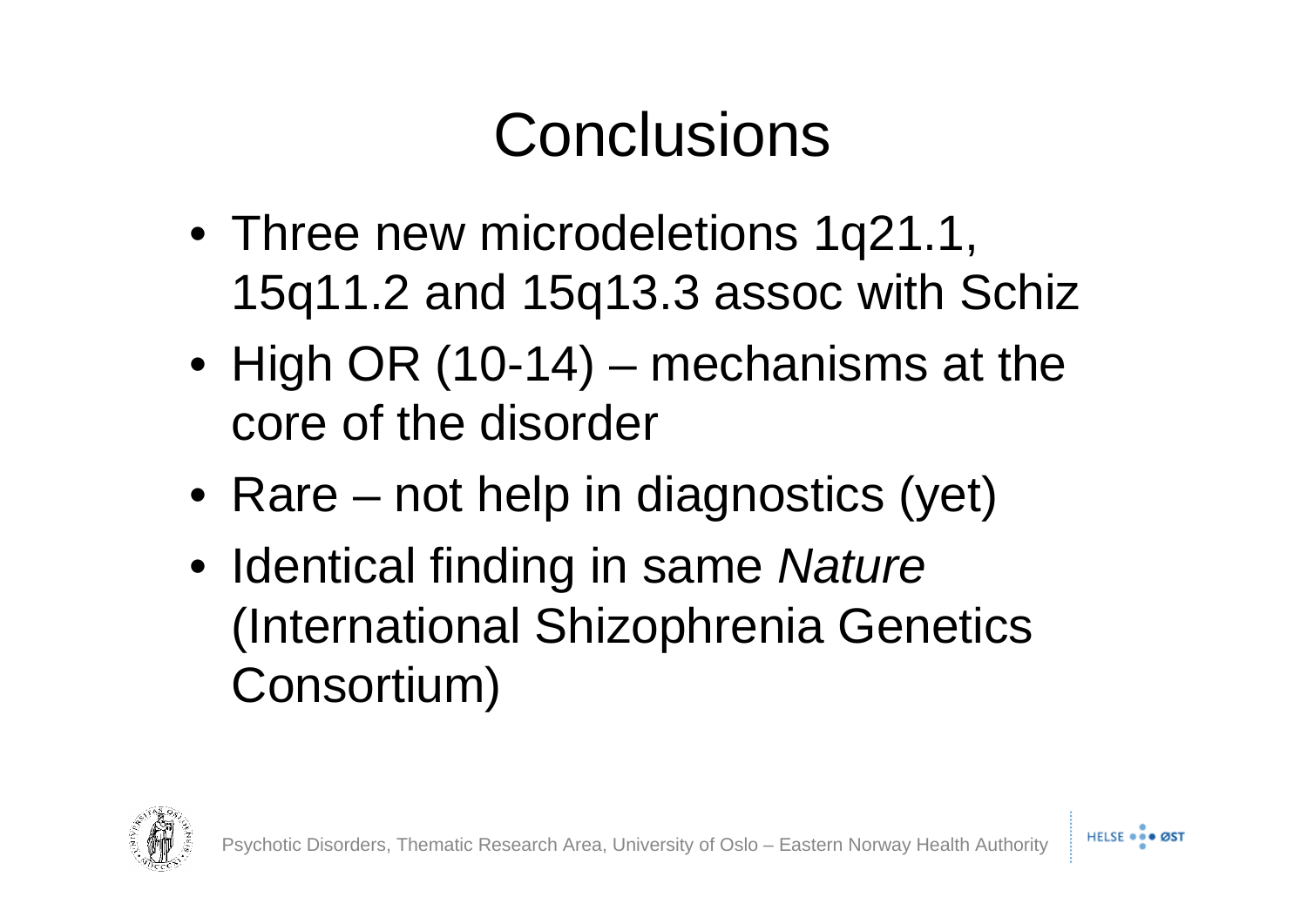#### **Conclusions**

- Three new microdeletions 1q21.1, 15q11.2 and 15q13.3 assoc with Schiz
- High OR (10-14) mechanisms at the core of the disorder
- Rare not help in diagnostics (yet)
- Identical finding in same *Nature*  (International Shizophrenia Genetics Consortium)

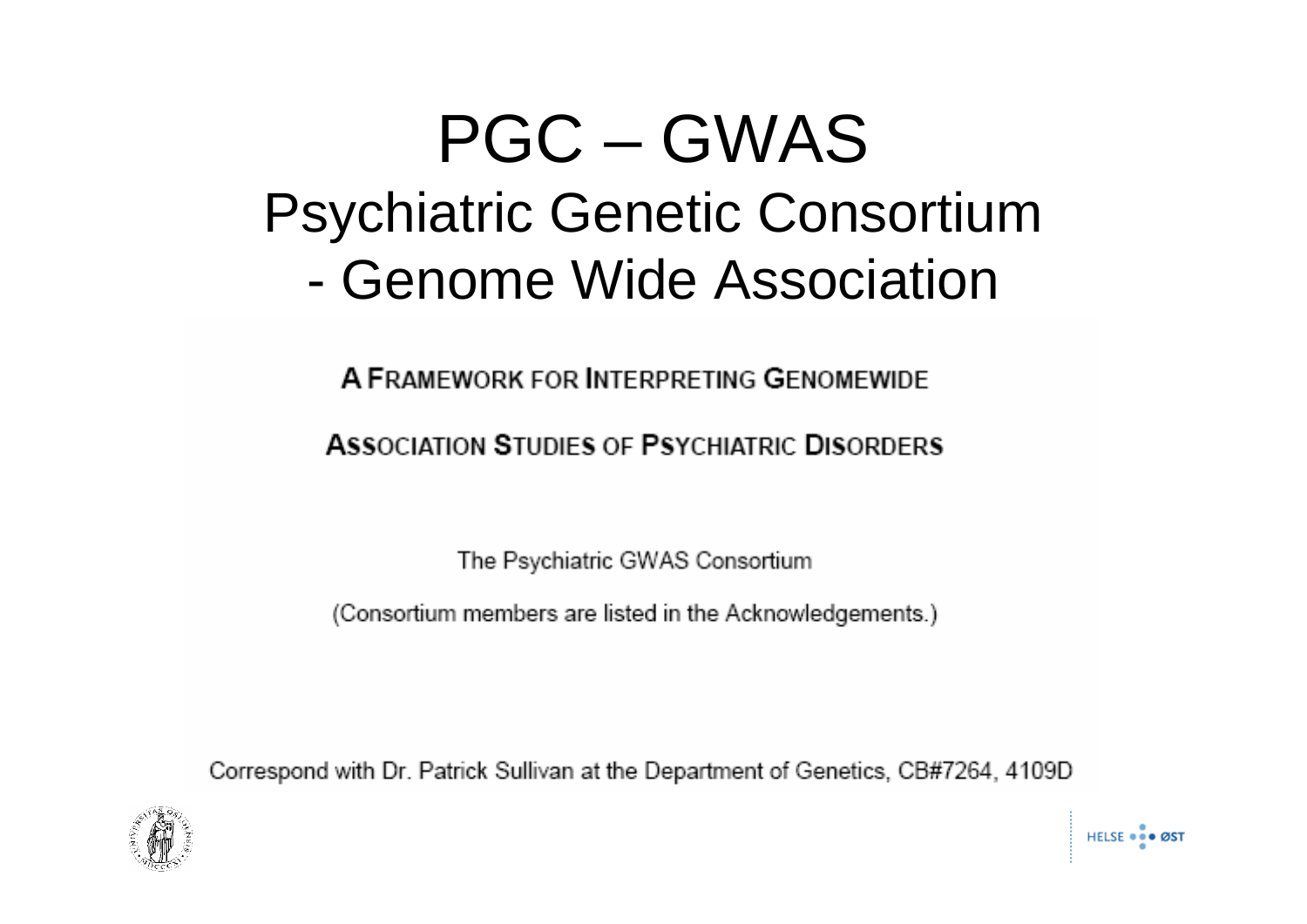### PGC – GWAS Psychiatric Genetic Consortium - Genome Wide Association

A FRAMEWORK FOR INTERPRETING GENOMEWIDE

**ASSOCIATION STUDIES OF PSYCHIATRIC DISORDERS** 

The Psychiatric GWAS Consortium

(Consortium members are listed in the Acknowledgements.)

Correspond with Dr. Patrick Sullivan at the Department of Genetics, CB#7264, 4109D

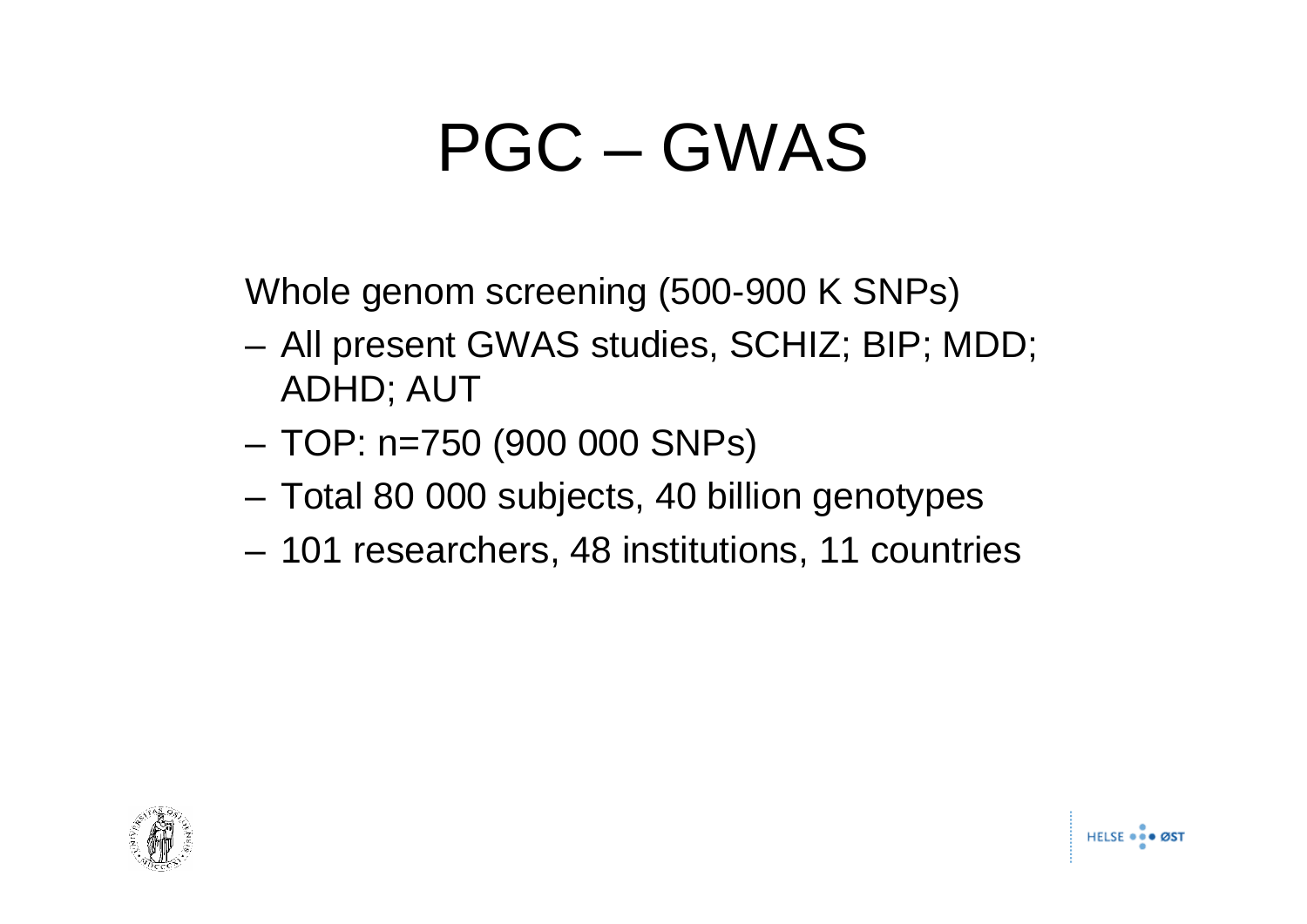# PGC – GWAS

Whole genom screening (500-900 K SNPs)

- All present GWAS studies, SCHIZ; BIP; MDD; ADHD; AUT
- TOP: n=750 (900 000 SNPs)
- Total 80 000 subjects, 40 billion genotypes
- 101 researchers, 48 institutions, 11 countries

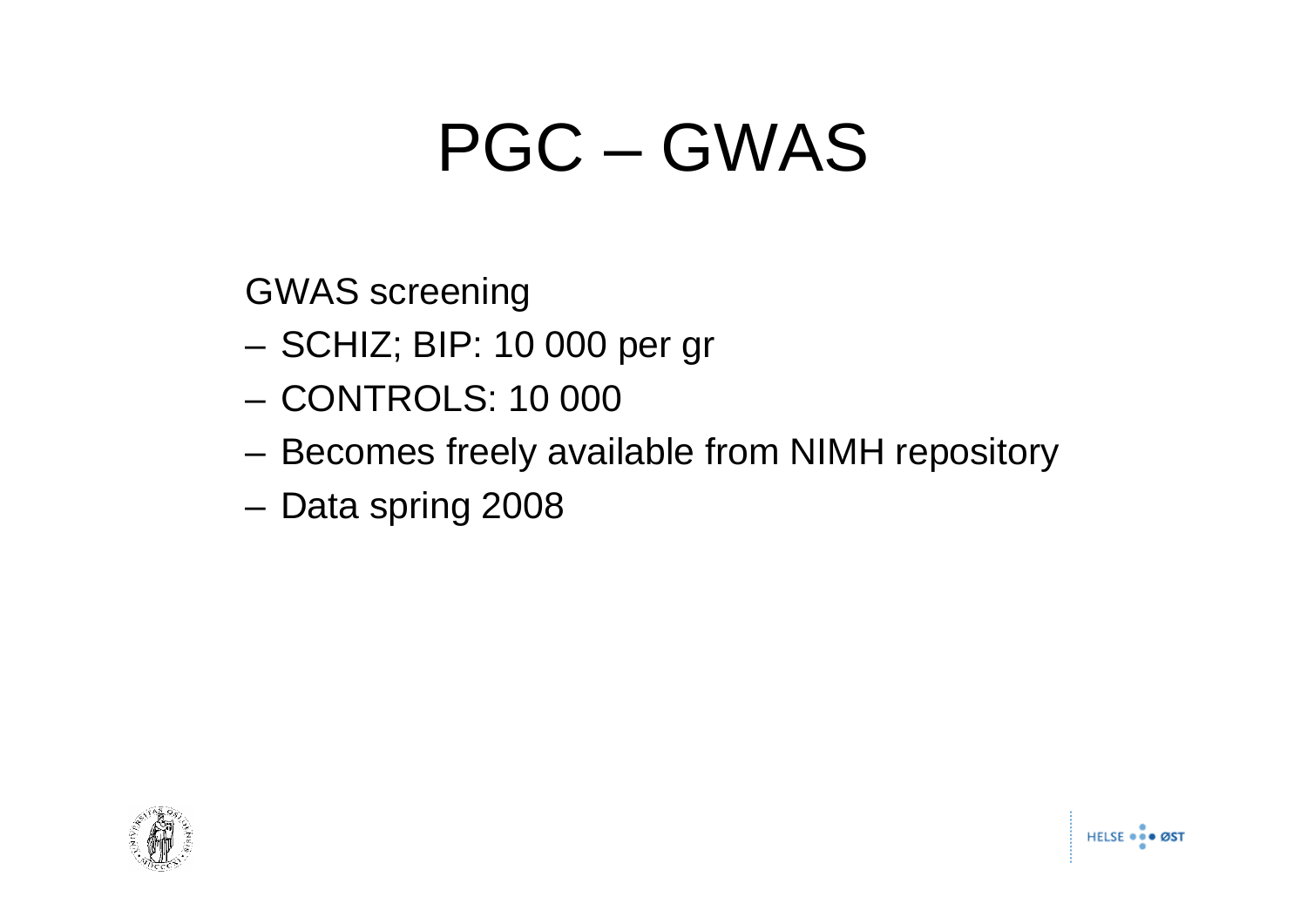# PGC – GWAS

GWAS screening

- SCHIZ; BIP: 10 000 per gr
- CONTROLS: 10 000
- Becomes freely available from NIMH repository
- Data spring 2008

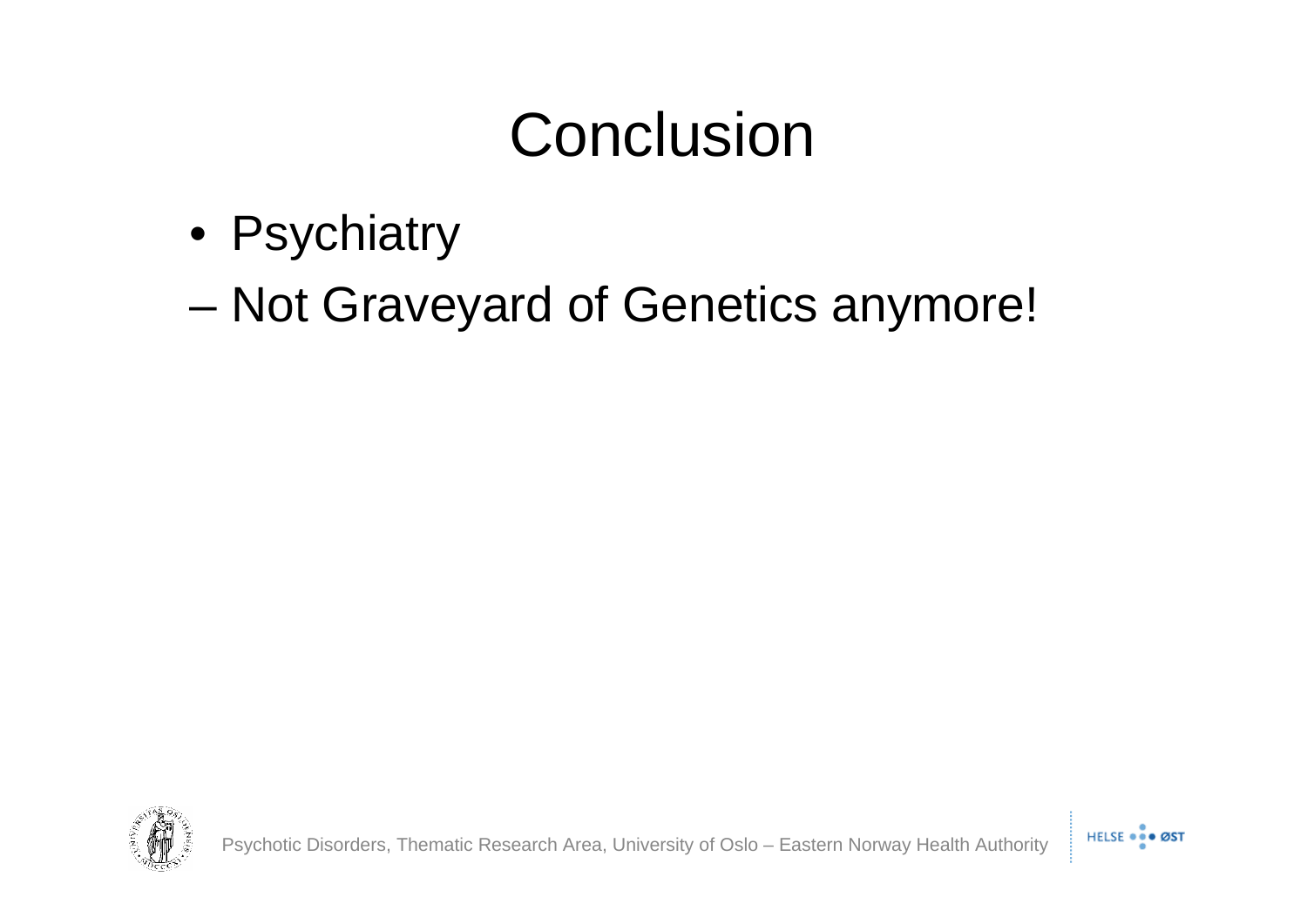#### Conclusion

- Psychiatry
- Not Graveyard of Genetics anymore!